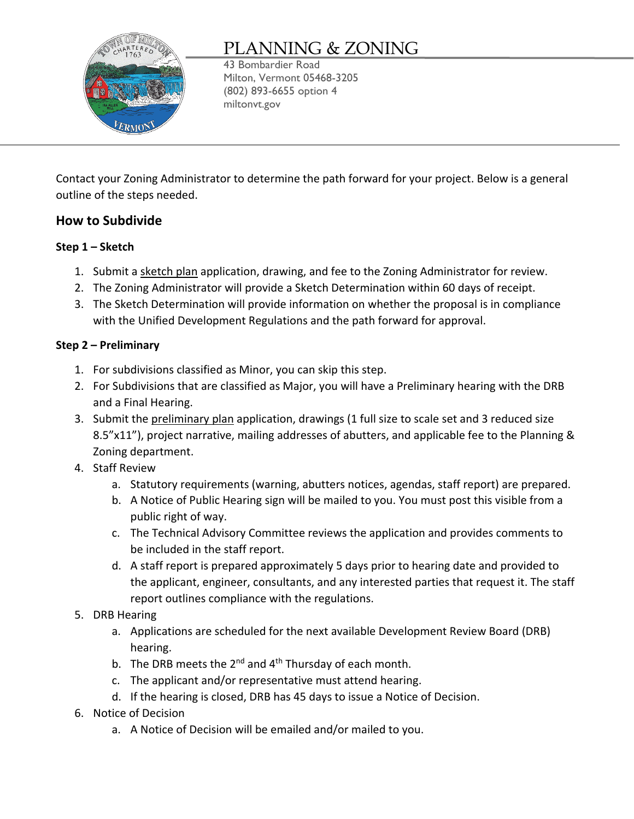

# PLANNING & ZONING

43 Bombardier Road Milton, Vermont 05468-3205 (802) 893-6655 option 4 miltonvt.gov

Contact your Zoning Administrator to determine the path forward for your project. Below is a general outline of the steps needed.

## **How to Subdivide**

## **Step 1 – Sketch**

- 1. Submit a sketch plan application, drawing, and fee to the Zoning Administrator for review.
- 2. The Zoning Administrator will provide a Sketch Determination within 60 days of receipt.
- 3. The Sketch Determination will provide information on whether the proposal is in compliance with the Unified Development Regulations and the path forward for approval.

## **Step 2 – Preliminary**

- 1. For subdivisions classified as Minor, you can skip this step.
- 2. For Subdivisions that are classified as Major, you will have a Preliminary hearing with the DRB and a Final Hearing.
- 3. Submit the preliminary plan application, drawings (1 full size to scale set and 3 reduced size 8.5"x11"), project narrative, mailing addresses of abutters, and applicable fee to the Planning & Zoning department.
- 4. Staff Review
	- a. Statutory requirements (warning, abutters notices, agendas, staff report) are prepared.
	- b. A Notice of Public Hearing sign will be mailed to you. You must post this visible from a public right of way.
	- c. The Technical Advisory Committee reviews the application and provides comments to be included in the staff report.
	- d. A staff report is prepared approximately 5 days prior to hearing date and provided to the applicant, engineer, consultants, and any interested parties that request it. The staff report outlines compliance with the regulations.
- 5. DRB Hearing
	- a. Applications are scheduled for the next available Development Review Board (DRB) hearing.
	- b. The DRB meets the  $2^{nd}$  and  $4^{th}$  Thursday of each month.
	- c. The applicant and/or representative must attend hearing.
	- d. If the hearing is closed, DRB has 45 days to issue a Notice of Decision.
- 6. Notice of Decision
	- a. A Notice of Decision will be emailed and/or mailed to you.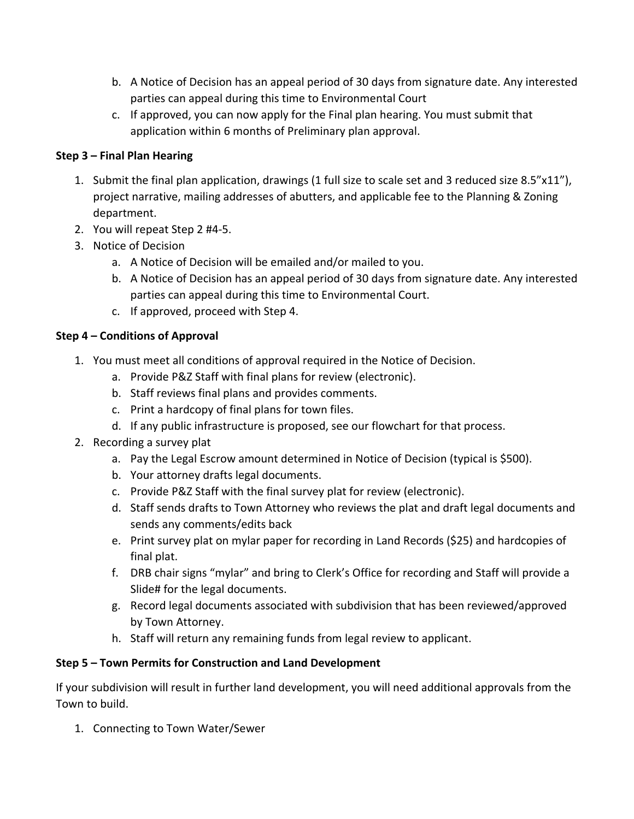- b. A Notice of Decision has an appeal period of 30 days from signature date. Any interested parties can appeal during this time to Environmental Court
- c. If approved, you can now apply for the Final plan hearing. You must submit that application within 6 months of Preliminary plan approval.

## **Step 3 – Final Plan Hearing**

- 1. Submit the final plan application, drawings (1 full size to scale set and 3 reduced size 8.5"x11"), project narrative, mailing addresses of abutters, and applicable fee to the Planning & Zoning department.
- 2. You will repeat Step 2 #4-5.
- 3. Notice of Decision
	- a. A Notice of Decision will be emailed and/or mailed to you.
	- b. A Notice of Decision has an appeal period of 30 days from signature date. Any interested parties can appeal during this time to Environmental Court.
	- c. If approved, proceed with Step 4.

## **Step 4 – Conditions of Approval**

- 1. You must meet all conditions of approval required in the Notice of Decision.
	- a. Provide P&Z Staff with final plans for review (electronic).
	- b. Staff reviews final plans and provides comments.
	- c. Print a hardcopy of final plans for town files.
	- d. If any public infrastructure is proposed, see our flowchart for that process.
- 2. Recording a survey plat
	- a. Pay the Legal Escrow amount determined in Notice of Decision (typical is \$500).
	- b. Your attorney drafts legal documents.
	- c. Provide P&Z Staff with the final survey plat for review (electronic).
	- d. Staff sends drafts to Town Attorney who reviews the plat and draft legal documents and sends any comments/edits back
	- e. Print survey plat on mylar paper for recording in Land Records (\$25) and hardcopies of final plat.
	- f. DRB chair signs "mylar" and bring to Clerk's Office for recording and Staff will provide a Slide# for the legal documents.
	- g. Record legal documents associated with subdivision that has been reviewed/approved by Town Attorney.
	- h. Staff will return any remaining funds from legal review to applicant.

### **Step 5 – Town Permits for Construction and Land Development**

If your subdivision will result in further land development, you will need additional approvals from the Town to build.

1. Connecting to Town Water/Sewer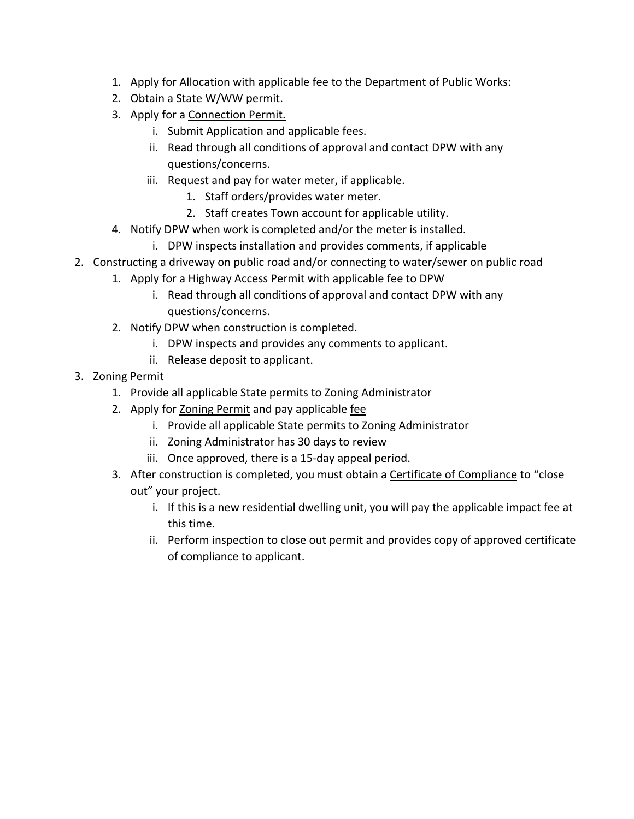- 1. Apply for [Allocation](http://miltonvt.gov/DocumentCenter/View/117/Allocation-Application-October-2020-PDF) with applicable fee to the Department of Public Works:
- 2. Obtain a State W/WW permit.
- 3. Apply for a [Connection Permit.](http://miltonvt.gov/DocumentCenter/View/115/Water-Wastewater-Connection-Permit2020-PDF)
	- i. Submit Application and applicable fees.
	- ii. Read through all conditions of approval and contact DPW with any questions/concerns.
	- iii. Request and pay for water meter, if applicable.
		- 1. Staff orders/provides water meter.
		- 2. Staff creates Town account for applicable utility.
- 4. Notify DPW when work is completed and/or the meter is installed.
	- i. DPW inspects installation and provides comments, if applicable
- 2. Constructing a driveway on public road and/or connecting to water/sewer on public road
	- 1. Apply for a [Highway Access Permit](http://miltonvt.gov/DocumentCenter/View/56/Highway-Access-Permit-Application-PDF) with applicable fee to DPW
		- i. Read through all conditions of approval and contact DPW with any questions/concerns.
	- 2. Notify DPW when construction is completed.
		- i. DPW inspects and provides any comments to applicant.
		- ii. Release deposit to applicant.
- 3. Zoning Permit
	- 1. Provide all applicable State permits to Zoning Administrator
	- 2. Apply for [Zoning Permit](http://miltonvt.gov/DocumentCenter/View/1206/Zoning-Permit-Application-PDF) and pay applicable [fee](http://miltonvt.gov/DocumentCenter/View/1205/Planning-and-Zoning-Fee-Schedule-PDF)
		- i. Provide all applicable State permits to Zoning Administrator
		- ii. Zoning Administrator has 30 days to review
		- iii. Once approved, there is a 15-day appeal period.
	- 3. After construction is completed, you must obtain a [Certificate of Compliance](http://miltonvt.gov/DocumentCenter/View/268/Certificate-Of-Compliance-Application-PDF) to "close out" your project.
		- i. If this is a new residential dwelling unit, you will pay the applicable impact fee at this time.
		- ii. Perform inspection to close out permit and provides copy of approved certificate of compliance to applicant.